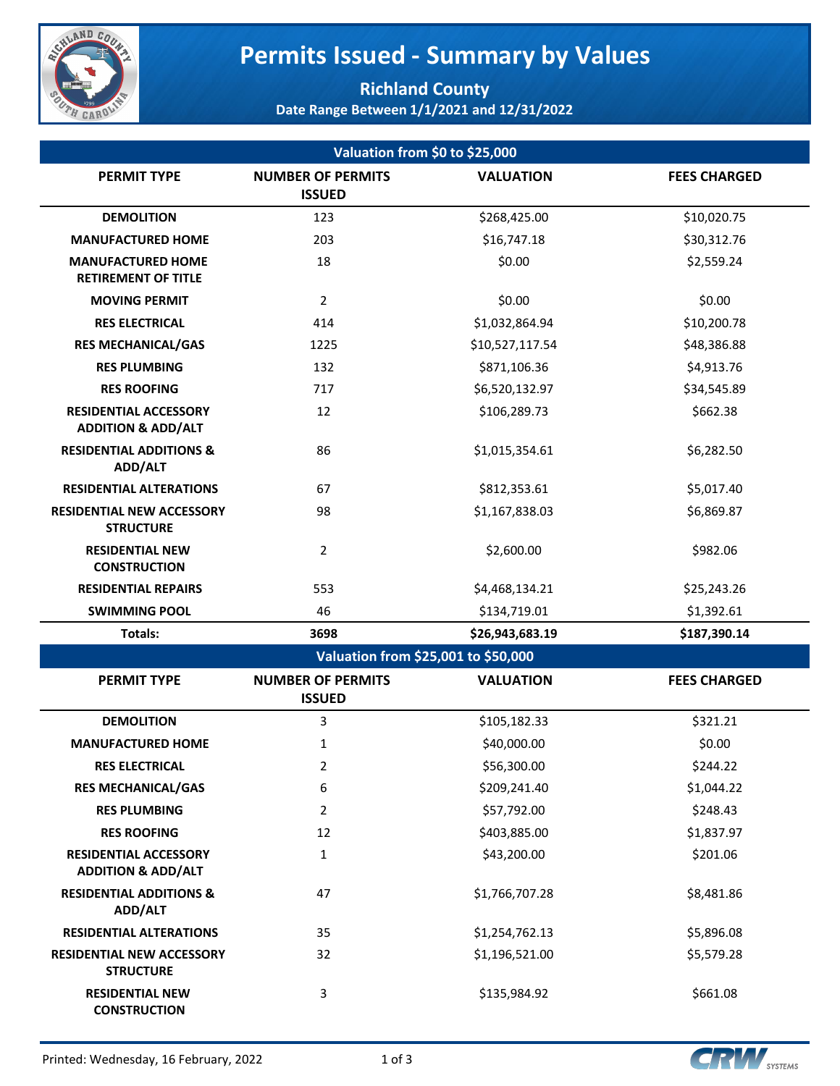

# **Permits Issued - Summary by Values**

### **Richland County Date Range Between 1/1/2021 and 12/31/2022**

| Valuation from \$0 to \$25,000                                |                                           |                                     |                     |  |  |
|---------------------------------------------------------------|-------------------------------------------|-------------------------------------|---------------------|--|--|
| <b>PERMIT TYPE</b>                                            | <b>NUMBER OF PERMITS</b>                  | <b>VALUATION</b>                    | <b>FEES CHARGED</b> |  |  |
|                                                               | <b>ISSUED</b>                             |                                     |                     |  |  |
| <b>DEMOLITION</b>                                             | 123                                       | \$268,425.00                        | \$10,020.75         |  |  |
| <b>MANUFACTURED HOME</b>                                      | 203                                       | \$16,747.18                         | \$30,312.76         |  |  |
| <b>MANUFACTURED HOME</b><br><b>RETIREMENT OF TITLE</b>        | 18                                        | \$0.00                              | \$2,559.24          |  |  |
| <b>MOVING PERMIT</b>                                          | $\overline{2}$                            | \$0.00                              | \$0.00              |  |  |
| <b>RES ELECTRICAL</b>                                         | 414                                       | \$1,032,864.94                      | \$10,200.78         |  |  |
| <b>RES MECHANICAL/GAS</b>                                     | 1225                                      | \$10,527,117.54                     | \$48,386.88         |  |  |
| <b>RES PLUMBING</b>                                           | 132                                       | \$871,106.36                        | \$4,913.76          |  |  |
| <b>RES ROOFING</b>                                            | 717                                       | \$6,520,132.97                      | \$34,545.89         |  |  |
| <b>RESIDENTIAL ACCESSORY</b><br><b>ADDITION &amp; ADD/ALT</b> | 12                                        | \$106,289.73                        | \$662.38            |  |  |
| <b>RESIDENTIAL ADDITIONS &amp;</b><br>ADD/ALT                 | 86                                        | \$1,015,354.61                      | \$6,282.50          |  |  |
| <b>RESIDENTIAL ALTERATIONS</b>                                | 67                                        | \$812,353.61                        | \$5,017.40          |  |  |
| <b>RESIDENTIAL NEW ACCESSORY</b><br><b>STRUCTURE</b>          | 98                                        | \$1,167,838.03                      | \$6,869.87          |  |  |
| <b>RESIDENTIAL NEW</b><br><b>CONSTRUCTION</b>                 | $\overline{2}$                            | \$2,600.00                          | \$982.06            |  |  |
| <b>RESIDENTIAL REPAIRS</b>                                    | 553                                       | \$4,468,134.21                      | \$25,243.26         |  |  |
| <b>SWIMMING POOL</b>                                          | 46                                        | \$134,719.01                        | \$1,392.61          |  |  |
| Totals:                                                       | 3698                                      | \$26,943,683.19                     | \$187,390.14        |  |  |
|                                                               |                                           | Valuation from \$25,001 to \$50,000 |                     |  |  |
| <b>PERMIT TYPE</b>                                            | <b>NUMBER OF PERMITS</b><br><b>ISSUED</b> | <b>VALUATION</b>                    | <b>FEES CHARGED</b> |  |  |
| <b>DEMOLITION</b>                                             | 3                                         | \$105,182.33                        | \$321.21            |  |  |
| <b>MANUFACTURED HOME</b>                                      | $\mathbf{1}$                              | \$40,000.00                         | \$0.00              |  |  |
| <b>RES ELECTRICAL</b>                                         | 2                                         | \$56,300.00                         | \$244.22            |  |  |
| <b>RES MECHANICAL/GAS</b>                                     | 6                                         | \$209,241.40                        | \$1,044.22          |  |  |
| <b>RES PLUMBING</b>                                           | $\overline{2}$                            | \$57,792.00                         | \$248.43            |  |  |
| <b>RES ROOFING</b>                                            | 12                                        | \$403,885.00                        | \$1,837.97          |  |  |
| <b>RESIDENTIAL ACCESSORY</b><br><b>ADDITION &amp; ADD/ALT</b> | $\mathbf{1}$                              | \$43,200.00                         | \$201.06            |  |  |
| <b>RESIDENTIAL ADDITIONS &amp;</b><br>ADD/ALT                 | 47                                        | \$1,766,707.28                      | \$8,481.86          |  |  |
| <b>RESIDENTIAL ALTERATIONS</b>                                | 35                                        | \$1,254,762.13                      | \$5,896.08          |  |  |
| <b>RESIDENTIAL NEW ACCESSORY</b><br><b>STRUCTURE</b>          | 32                                        | \$1,196,521.00                      | \$5,579.28          |  |  |
| <b>RESIDENTIAL NEW</b><br><b>CONSTRUCTION</b>                 | 3                                         | \$135,984.92                        | \$661.08            |  |  |

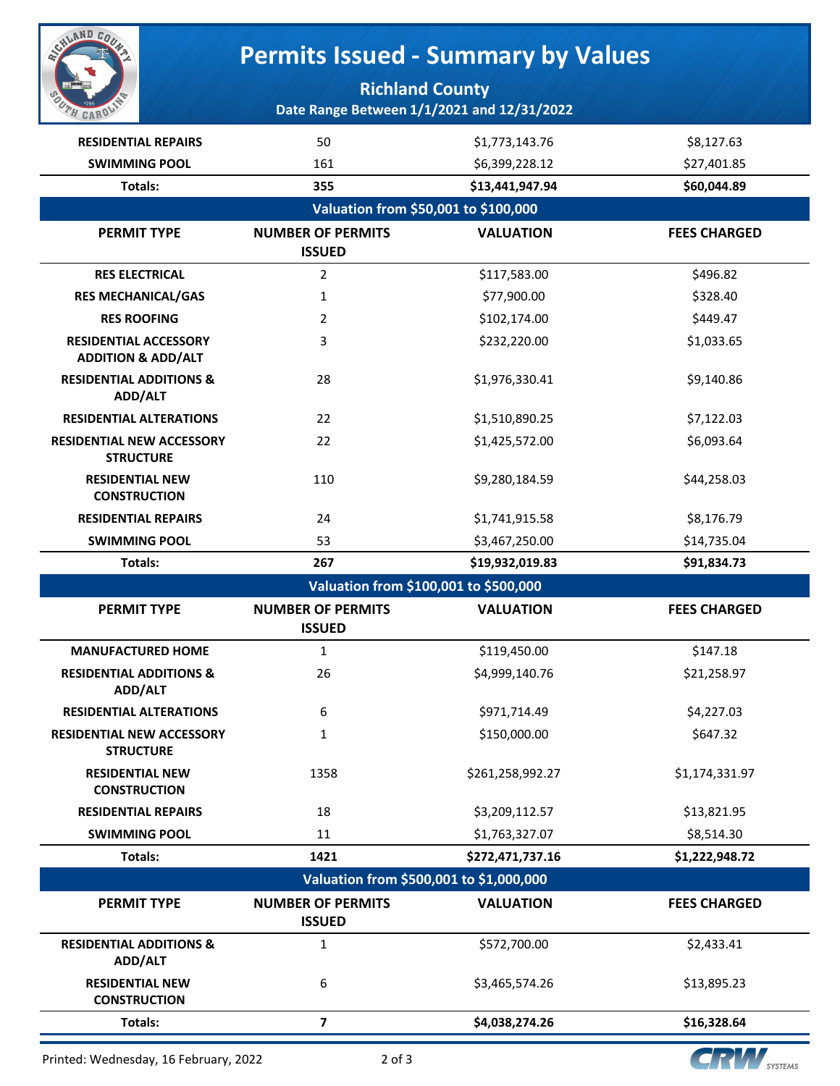

# **Permits Issued - Summary by Values**

### **Richland County Date Range Between 1/1/2021 and 12/31/2022**

| <b>RESIDENTIAL REPAIRS</b>                                    | 50                                        | \$1,773,143.76   | \$8,127.63          |
|---------------------------------------------------------------|-------------------------------------------|------------------|---------------------|
| <b>SWIMMING POOL</b>                                          | 161                                       | \$6,399,228.12   | \$27,401.85         |
| Totals:                                                       | 355                                       | \$13,441,947.94  | \$60,044.89         |
|                                                               | Valuation from \$50,001 to \$100,000      |                  |                     |
| <b>PERMIT TYPE</b>                                            | <b>NUMBER OF PERMITS</b>                  | <b>VALUATION</b> | <b>FEES CHARGED</b> |
|                                                               | <b>ISSUED</b>                             |                  |                     |
| <b>RES ELECTRICAL</b>                                         | $\overline{2}$                            | \$117,583.00     | \$496.82            |
| <b>RES MECHANICAL/GAS</b>                                     | $\mathbf{1}$                              | \$77,900.00      | \$328.40            |
| <b>RES ROOFING</b>                                            | 2                                         | \$102,174.00     | \$449.47            |
| <b>RESIDENTIAL ACCESSORY</b><br><b>ADDITION &amp; ADD/ALT</b> | 3                                         | \$232,220.00     | \$1,033.65          |
| <b>RESIDENTIAL ADDITIONS &amp;</b><br>ADD/ALT                 | 28                                        | \$1,976,330.41   | \$9,140.86          |
| <b>RESIDENTIAL ALTERATIONS</b>                                | 22                                        | \$1,510,890.25   | \$7,122.03          |
| <b>RESIDENTIAL NEW ACCESSORY</b><br><b>STRUCTURE</b>          | 22                                        | \$1,425,572.00   | \$6,093.64          |
| <b>RESIDENTIAL NEW</b><br><b>CONSTRUCTION</b>                 | 110                                       | \$9,280,184.59   | \$44,258.03         |
| <b>RESIDENTIAL REPAIRS</b>                                    | 24                                        | \$1,741,915.58   | \$8,176.79          |
| <b>SWIMMING POOL</b>                                          | 53                                        | \$3,467,250.00   | \$14,735.04         |
| <b>Totals:</b>                                                | 267                                       | \$19,932,019.83  | \$91,834.73         |
|                                                               |                                           |                  |                     |
|                                                               | Valuation from \$100,001 to \$500,000     |                  |                     |
| <b>PERMIT TYPE</b>                                            | <b>NUMBER OF PERMITS</b><br><b>ISSUED</b> | <b>VALUATION</b> | <b>FEES CHARGED</b> |
| <b>MANUFACTURED HOME</b>                                      | 1                                         | \$119,450.00     | \$147.18            |
| <b>RESIDENTIAL ADDITIONS &amp;</b><br>ADD/ALT                 | 26                                        | \$4,999,140.76   | \$21,258.97         |
| <b>RESIDENTIAL ALTERATIONS</b>                                | 6                                         | \$971,714.49     | \$4,227.03          |
| <b>RESIDENTIAL NEW ACCESSORY</b><br><b>STRUCTURE</b>          | 1                                         | \$150,000.00     | \$647.32            |
| <b>RESIDENTIAL NEW</b><br><b>CONSTRUCTION</b>                 | 1358                                      | \$261,258,992.27 | \$1,174,331.97      |
| <b>RESIDENTIAL REPAIRS</b>                                    | 18                                        | \$3,209,112.57   | \$13,821.95         |
| <b>SWIMMING POOL</b>                                          | 11                                        | \$1,763,327.07   | \$8,514.30          |
| Totals:                                                       | 1421                                      | \$272,471,737.16 | \$1,222,948.72      |
|                                                               | Valuation from \$500,001 to \$1,000,000   |                  |                     |
| <b>PERMIT TYPE</b>                                            | <b>NUMBER OF PERMITS</b><br><b>ISSUED</b> | <b>VALUATION</b> | <b>FEES CHARGED</b> |
| <b>RESIDENTIAL ADDITIONS &amp;</b><br>ADD/ALT                 | 1                                         | \$572,700.00     | \$2,433.41          |
| <b>RESIDENTIAL NEW</b><br><b>CONSTRUCTION</b>                 | 6                                         | \$3,465,574.26   | \$13,895.23         |